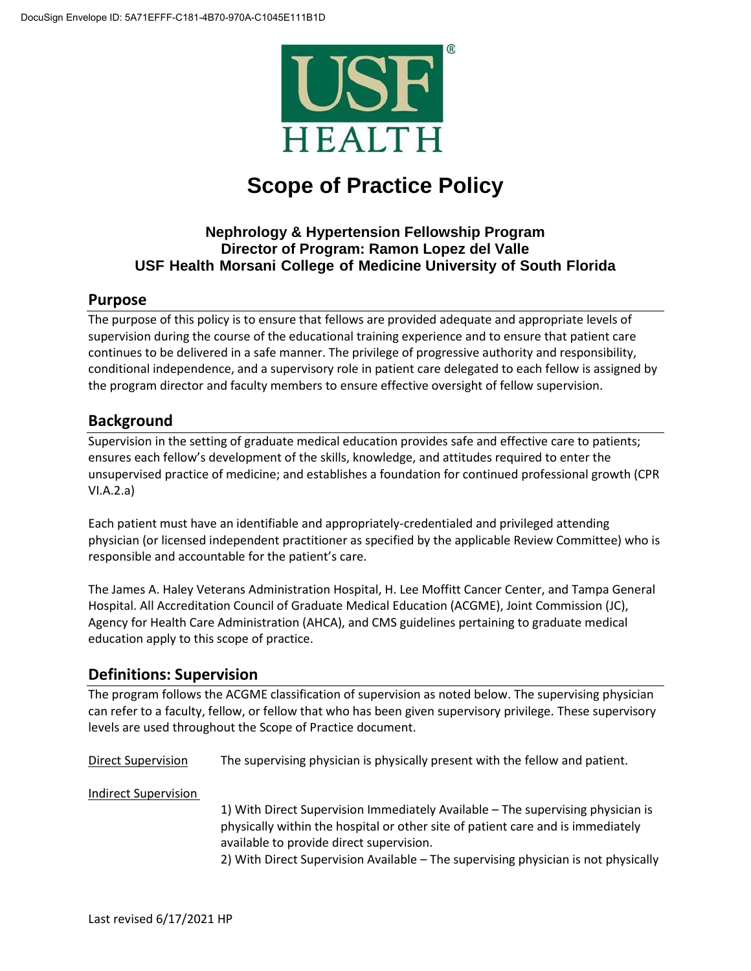

# **Scope of Practice Policy**

# **Nephrology & Hypertension Fellowship Program Director of Program: Ramon Lopez del Valle USF Health Morsani College of Medicine University of South Florida**

### **Purpose**

The purpose of this policy is to ensure that fellows are provided adequate and appropriate levels of supervision during the course of the educational training experience and to ensure that patient care continues to be delivered in a safe manner. The privilege of progressive authority and responsibility, conditional independence, and a supervisory role in patient care delegated to each fellow is assigned by the program director and faculty members to ensure effective oversight of fellow supervision.

# **Background**

Supervision in the setting of graduate medical education provides safe and effective care to patients; ensures each fellow's development of the skills, knowledge, and attitudes required to enter the unsupervised practice of medicine; and establishes a foundation for continued professional growth (CPR VI.A.2.a)

Each patient must have an identifiable and appropriately-credentialed and privileged attending physician (or licensed independent practitioner as specified by the applicable Review Committee) who is responsible and accountable for the patient's care.

The James A. Haley Veterans Administration Hospital, H. Lee Moffitt Cancer Center, and Tampa General Hospital. All Accreditation Council of Graduate Medical Education (ACGME), Joint Commission (JC), Agency for Health Care Administration (AHCA), and CMS guidelines pertaining to graduate medical education apply to this scope of practice.

# **Definitions: Supervision**

The program follows the ACGME classification of supervision as noted below. The supervising physician can refer to a faculty, fellow, or fellow that who has been given supervisory privilege. These supervisory levels are used throughout the Scope of Practice document.

Direct Supervision The supervising physician is physically present with the fellow and patient.

Indirect Supervision

1) With Direct Supervision Immediately Available – The supervising physician is physically within the hospital or other site of patient care and is immediately available to provide direct supervision.

2) With Direct Supervision Available – The supervising physician is not physically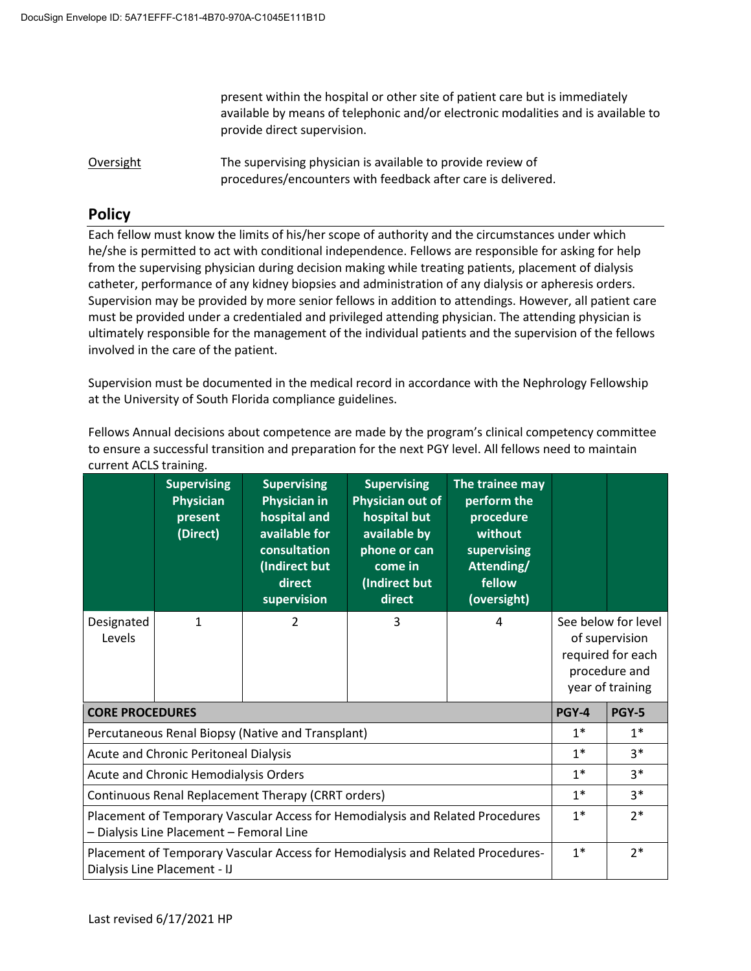present within the hospital or other site of patient care but is immediately available by means of telephonic and/or electronic modalities and is available to provide direct supervision.

Oversight The supervising physician is available to provide review of procedures/encounters with feedback after care is delivered.

# **Policy**

Each fellow must know the limits of his/her scope of authority and the circumstances under which he/she is permitted to act with conditional independence. Fellows are responsible for asking for help from the supervising physician during decision making while treating patients, placement of dialysis catheter, performance of any kidney biopsies and administration of any dialysis or apheresis orders. Supervision may be provided by more senior fellows in addition to attendings. However, all patient care must be provided under a credentialed and privileged attending physician. The attending physician is ultimately responsible for the management of the individual patients and the supervision of the fellows involved in the care of the patient.

Supervision must be documented in the medical record in accordance with the Nephrology Fellowship at the University of South Florida compliance guidelines.

Fellows Annual decisions about competence are made by the program's clinical competency committee to ensure a successful transition and preparation for the next PGY level. All fellows need to maintain current ACLS training.

|                                                                                                                            | <b>Supervising</b><br>Physician<br>present<br>(Direct) | <b>Supervising</b><br><b>Physician in</b><br>hospital and<br>available for<br>consultation<br>(Indirect but<br>direct<br>supervision | <b>Supervising</b><br>Physician out of<br>hospital but<br>available by<br>phone or can<br>come in<br>(Indirect but<br>direct | The trainee may<br>perform the<br>procedure<br>without<br>supervising<br>Attending/<br>fellow<br>(oversight) |  |                                                                                                 |
|----------------------------------------------------------------------------------------------------------------------------|--------------------------------------------------------|--------------------------------------------------------------------------------------------------------------------------------------|------------------------------------------------------------------------------------------------------------------------------|--------------------------------------------------------------------------------------------------------------|--|-------------------------------------------------------------------------------------------------|
| Designated<br>Levels                                                                                                       | 1                                                      | 2                                                                                                                                    | 3                                                                                                                            | 4                                                                                                            |  | See below for level<br>of supervision<br>required for each<br>procedure and<br>year of training |
| <b>CORE PROCEDURES</b>                                                                                                     | <b>PGY-4</b>                                           | <b>PGY-5</b>                                                                                                                         |                                                                                                                              |                                                                                                              |  |                                                                                                 |
| Percutaneous Renal Biopsy (Native and Transplant)                                                                          | $1*$                                                   | $1*$                                                                                                                                 |                                                                                                                              |                                                                                                              |  |                                                                                                 |
| <b>Acute and Chronic Peritoneal Dialysis</b>                                                                               | $1*$                                                   | $3*$                                                                                                                                 |                                                                                                                              |                                                                                                              |  |                                                                                                 |
| Acute and Chronic Hemodialysis Orders                                                                                      | $1*$                                                   | $3*$                                                                                                                                 |                                                                                                                              |                                                                                                              |  |                                                                                                 |
| Continuous Renal Replacement Therapy (CRRT orders)                                                                         | $1*$                                                   | $3*$                                                                                                                                 |                                                                                                                              |                                                                                                              |  |                                                                                                 |
| Placement of Temporary Vascular Access for Hemodialysis and Related Procedures<br>- Dialysis Line Placement - Femoral Line | $1*$                                                   | $2*$                                                                                                                                 |                                                                                                                              |                                                                                                              |  |                                                                                                 |
| Placement of Temporary Vascular Access for Hemodialysis and Related Procedures-<br>Dialysis Line Placement - IJ            | $1*$                                                   | $2*$                                                                                                                                 |                                                                                                                              |                                                                                                              |  |                                                                                                 |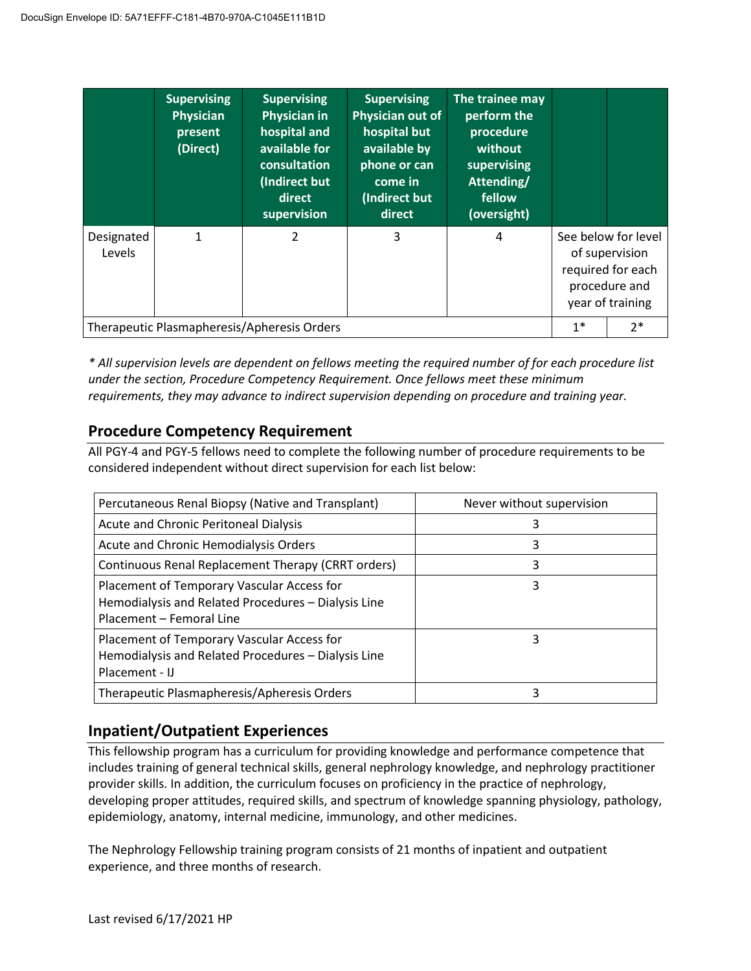|                                             | <b>Supervising</b><br><b>Physician</b><br>present<br>(Direct) | <b>Supervising</b><br><b>Physician in</b><br>hospital and<br>available for<br>consultation<br>(Indirect but<br>direct<br>supervision | <b>Supervising</b><br>Physician out of<br>hospital but<br>available by<br>phone or can<br>come in<br>(Indirect but<br>direct | The trainee may<br>perform the<br>procedure<br>without<br>supervising<br>Attending/<br>fellow<br>(oversight) |                                                                                                 |      |
|---------------------------------------------|---------------------------------------------------------------|--------------------------------------------------------------------------------------------------------------------------------------|------------------------------------------------------------------------------------------------------------------------------|--------------------------------------------------------------------------------------------------------------|-------------------------------------------------------------------------------------------------|------|
| Designated<br>Levels                        | 1                                                             | 2                                                                                                                                    | 3                                                                                                                            | 4                                                                                                            | See below for level<br>of supervision<br>required for each<br>procedure and<br>year of training |      |
| Therapeutic Plasmapheresis/Apheresis Orders |                                                               |                                                                                                                                      |                                                                                                                              |                                                                                                              |                                                                                                 | $2*$ |

*\* All supervision levels are dependent on fellows meeting the required number of for each procedure list under the section, Procedure Competency Requirement. Once fellows meet these minimum requirements, they may advance to indirect supervision depending on procedure and training year.*

# **Procedure Competency Requirement**

All PGY-4 and PGY-5 fellows need to complete the following number of procedure requirements to be considered independent without direct supervision for each list below:

| Percutaneous Renal Biopsy (Native and Transplant)                                                                             | Never without supervision |  |  |
|-------------------------------------------------------------------------------------------------------------------------------|---------------------------|--|--|
| Acute and Chronic Peritoneal Dialysis                                                                                         | 3                         |  |  |
| Acute and Chronic Hemodialysis Orders                                                                                         | 3                         |  |  |
| Continuous Renal Replacement Therapy (CRRT orders)                                                                            | 3                         |  |  |
| Placement of Temporary Vascular Access for<br>Hemodialysis and Related Procedures - Dialysis Line<br>Placement - Femoral Line | 3                         |  |  |
| Placement of Temporary Vascular Access for<br>Hemodialysis and Related Procedures - Dialysis Line<br>Placement - IJ           | ੨                         |  |  |
| Therapeutic Plasmapheresis/Apheresis Orders                                                                                   | 3                         |  |  |

# **Inpatient/Outpatient Experiences**

This fellowship program has a curriculum for providing knowledge and performance competence that includes training of general technical skills, general nephrology knowledge, and nephrology practitioner provider skills. In addition, the curriculum focuses on proficiency in the practice of nephrology, developing proper attitudes, required skills, and spectrum of knowledge spanning physiology, pathology, epidemiology, anatomy, internal medicine, immunology, and other medicines.

The Nephrology Fellowship training program consists of 21 months of inpatient and outpatient experience, and three months of research.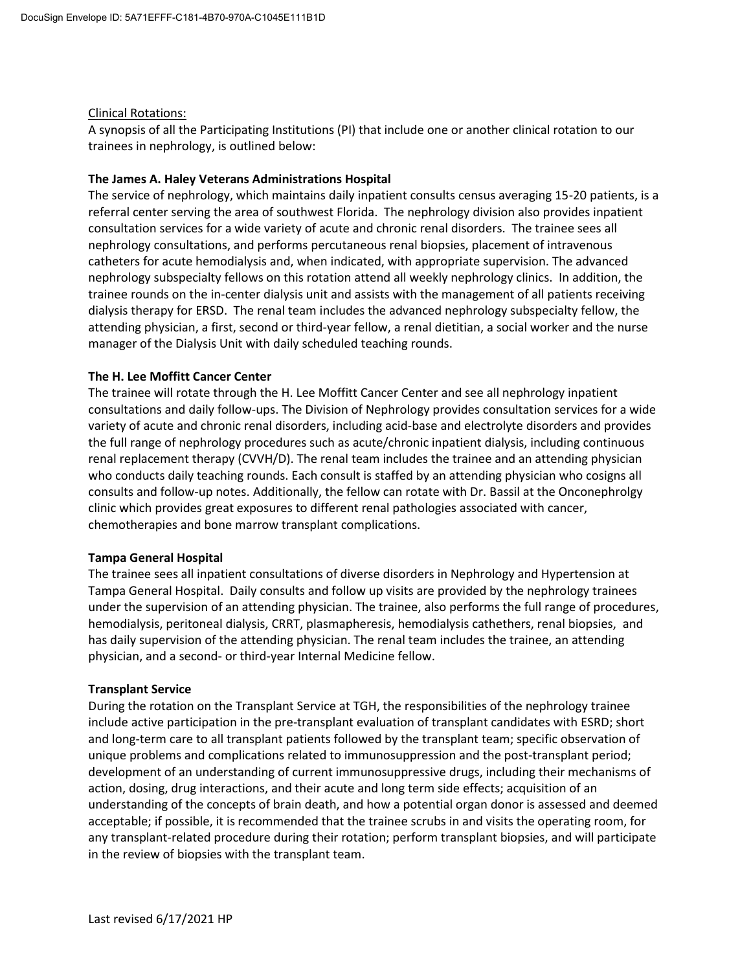### Clinical Rotations:

A synopsis of all the Participating Institutions (PI) that include one or another clinical rotation to our trainees in nephrology, is outlined below:

### **The James A. Haley Veterans Administrations Hospital**

The service of nephrology, which maintains daily inpatient consults census averaging 15-20 patients, is a referral center serving the area of southwest Florida. The nephrology division also provides inpatient consultation services for a wide variety of acute and chronic renal disorders. The trainee sees all nephrology consultations, and performs percutaneous renal biopsies, placement of intravenous catheters for acute hemodialysis and, when indicated, with appropriate supervision. The advanced nephrology subspecialty fellows on this rotation attend all weekly nephrology clinics. In addition, the trainee rounds on the in-center dialysis unit and assists with the management of all patients receiving dialysis therapy for ERSD. The renal team includes the advanced nephrology subspecialty fellow, the attending physician, a first, second or third-year fellow, a renal dietitian, a social worker and the nurse manager of the Dialysis Unit with daily scheduled teaching rounds.

### **The H. Lee Moffitt Cancer Center**

The trainee will rotate through the H. Lee Moffitt Cancer Center and see all nephrology inpatient consultations and daily follow-ups. The Division of Nephrology provides consultation services for a wide variety of acute and chronic renal disorders, including acid-base and electrolyte disorders and provides the full range of nephrology procedures such as acute/chronic inpatient dialysis, including continuous renal replacement therapy (CVVH/D). The renal team includes the trainee and an attending physician who conducts daily teaching rounds. Each consult is staffed by an attending physician who cosigns all consults and follow-up notes. Additionally, the fellow can rotate with Dr. Bassil at the Onconephrolgy clinic which provides great exposures to different renal pathologies associated with cancer, chemotherapies and bone marrow transplant complications.

### **Tampa General Hospital**

The trainee sees all inpatient consultations of diverse disorders in Nephrology and Hypertension at Tampa General Hospital. Daily consults and follow up visits are provided by the nephrology trainees under the supervision of an attending physician. The trainee, also performs the full range of procedures, hemodialysis, peritoneal dialysis, CRRT, plasmapheresis, hemodialysis cathethers, renal biopsies, and has daily supervision of the attending physician. The renal team includes the trainee, an attending physician, and a second- or third-year Internal Medicine fellow.

### **Transplant Service**

During the rotation on the Transplant Service at TGH, the responsibilities of the nephrology trainee include active participation in the pre-transplant evaluation of transplant candidates with ESRD; short and long-term care to all transplant patients followed by the transplant team; specific observation of unique problems and complications related to immunosuppression and the post-transplant period; development of an understanding of current immunosuppressive drugs, including their mechanisms of action, dosing, drug interactions, and their acute and long term side effects; acquisition of an understanding of the concepts of brain death, and how a potential organ donor is assessed and deemed acceptable; if possible, it is recommended that the trainee scrubs in and visits the operating room, for any transplant-related procedure during their rotation; perform transplant biopsies, and will participate in the review of biopsies with the transplant team.